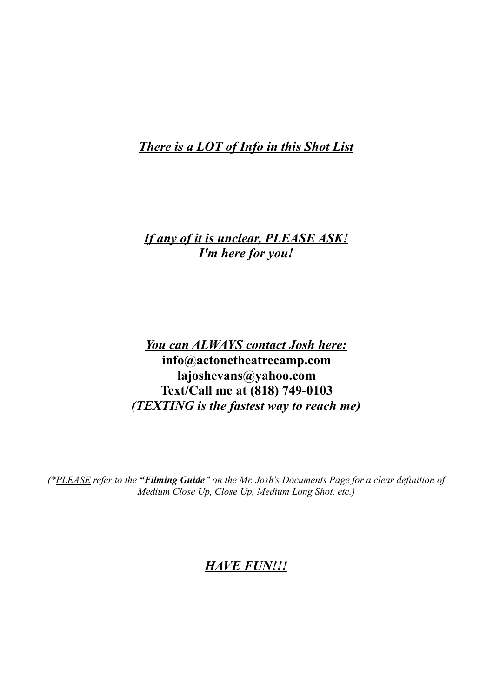*There is a LOT of Info in this Shot List*

# *If any of it is unclear, PLEASE ASK! I'm here for you!*

*You can ALWAYS contact Josh here:* **info@actonetheatrecamp.com lajoshevans@yahoo.com Text/Call me at (818) 749-0103** *(TEXTING is the fastest way to reach me)*

*(\*PLEASE refer to the "Filming Guide" on the Mr. Josh's Documents Page for a clear definition of Medium Close Up, Close Up, Medium Long Shot, etc.)*

# *HAVE FUN!!!*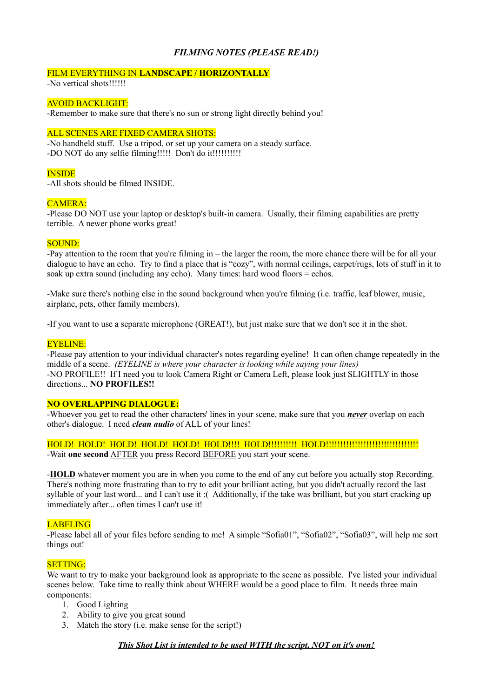#### *FILMING NOTES (PLEASE READ!)*

#### FILM EVERYTHING IN **LANDSCAPE / HORIZONTALLY**

-No vertical shots!!!!!!

#### AVOID BACKLIGHT:

-Remember to make sure that there's no sun or strong light directly behind you!

#### ALL SCENES ARE FIXED CAMERA SHOTS:

-No handheld stuff. Use a tripod, or set up your camera on a steady surface. -DO NOT do any selfie filming!!!!! Don't do it!!!!!!!!!!!!

#### **INSIDE**

-All shots should be filmed INSIDE.

#### $CAMERA$

-Please DO NOT use your laptop or desktop's built-in camera. Usually, their filming capabilities are pretty terrible. A newer phone works great!

#### SOUND:

-Pay attention to the room that you're filming in – the larger the room, the more chance there will be for all your dialogue to have an echo. Try to find a place that is "cozy", with normal ceilings, carpet/rugs, lots of stuff in it to soak up extra sound (including any echo). Many times: hard wood floors = echos.

-Make sure there's nothing else in the sound background when you're filming (i.e. traffic, leaf blower, music, airplane, pets, other family members).

-If you want to use a separate microphone (GREAT!), but just make sure that we don't see it in the shot.

#### EYELINE:

-Please pay attention to your individual character's notes regarding eyeline! It can often change repeatedly in the middle of a scene. *(EYELINE is where your character is looking while saying your lines)* -NO PROFILE!! If I need you to look Camera Right or Camera Left, please look just SLIGHTLY in those directions... **NO PROFILES!!**

#### **NO OVERLAPPING DIALOGUE:**

-Whoever you get to read the other characters' lines in your scene, make sure that you *never* overlap on each other's dialogue. I need *clean audio* of ALL of your lines!

#### HOLD! HOLD! HOLD! HOLD! HOLD! HOLD!!!! HOLD!!!!!!!!!! HOLD!!!!!!!!!!!!!!!!!!!!!!!!!!!!!!!! -Wait one second **AFTER** you press Record **BEFORE** you start your scene.

-**HOLD** whatever moment you are in when you come to the end of any cut before you actually stop Recording. There's nothing more frustrating than to try to edit your brilliant acting, but you didn't actually record the last syllable of your last word... and I can't use it :( Additionally, if the take was brilliant, but you start cracking up immediately after... often times I can't use it!

#### LABELING

-Please label all of your files before sending to me! A simple "Sofia01", "Sofia02", "Sofia03", will help me sort things out!

#### SETTING:

We want to try to make your background look as appropriate to the scene as possible. I've listed your individual scenes below. Take time to really think about WHERE would be a good place to film. It needs three main components:

- 1. Good Lighting
- 2. Ability to give you great sound
- 3. Match the story (i.e. make sense for the script!)

*This Shot List is intended to be used WITH the script, NOT on it's own!*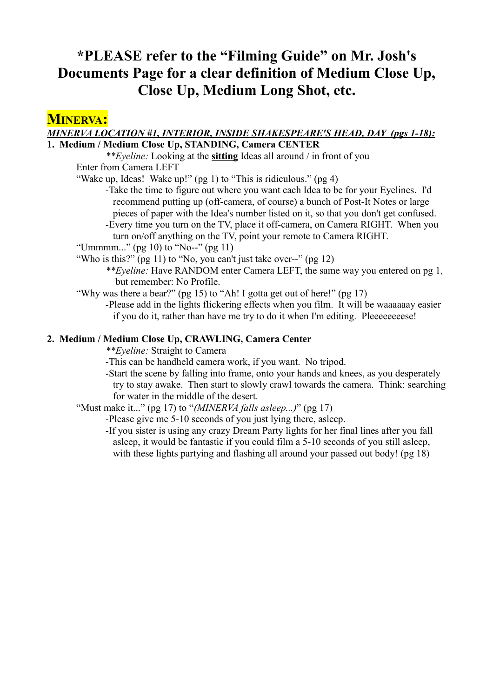# **\*PLEASE refer to the "Filming Guide" on Mr. Josh's Documents Page for a clear definition of Medium Close Up, Close Up, Medium Long Shot, etc.**

# **MINERVA:**

#### *MINERVA LOCATION #1, INTERIOR, INSIDE SHAKESPEARE'S HEAD, DAY (pgs 1-18):* **1. Medium / Medium Close Up, STANDING, Camera CENTER**

*\*\*Eyeline:* Looking at the **sitting** Ideas all around / in front of you Enter from Camera LEFT

"Wake up, Ideas! Wake up!" (pg 1) to "This is ridiculous." (pg 4)

- -Take the time to figure out where you want each Idea to be for your Eyelines. I'd recommend putting up (off-camera, of course) a bunch of Post-It Notes or large pieces of paper with the Idea's number listed on it, so that you don't get confused.
- -Every time you turn on the TV, place it off-camera, on Camera RIGHT. When you turn on/off anything on the TV, point your remote to Camera RIGHT.

"Ummmm..." (pg 10) to "No--" (pg 11)

- "Who is this?" (pg 11) to "No, you can't just take over--" (pg 12)
	- *\*\*Eyeline:* Have RANDOM enter Camera LEFT, the same way you entered on pg 1, but remember: No Profile.
- "Why was there a bear?" (pg 15) to "Ah! I gotta get out of here!" (pg 17)
	- -Please add in the lights flickering effects when you film. It will be waaaaaay easier if you do it, rather than have me try to do it when I'm editing. Pleeeeeeeese!

### **2. Medium / Medium Close Up, CRAWLING, Camera Center**

*\*\*Eyeline:* Straight to Camera

- -This can be handheld camera work, if you want. No tripod.
- -Start the scene by falling into frame, onto your hands and knees, as you desperately try to stay awake. Then start to slowly crawl towards the camera. Think: searching for water in the middle of the desert.
- "Must make it..." (pg 17) to "*(MINERVA falls asleep...)*" (pg 17)
	- -Please give me 5-10 seconds of you just lying there, asleep.
	- -If you sister is using any crazy Dream Party lights for her final lines after you fall asleep, it would be fantastic if you could film a 5-10 seconds of you still asleep, with these lights partying and flashing all around your passed out body! (pg 18)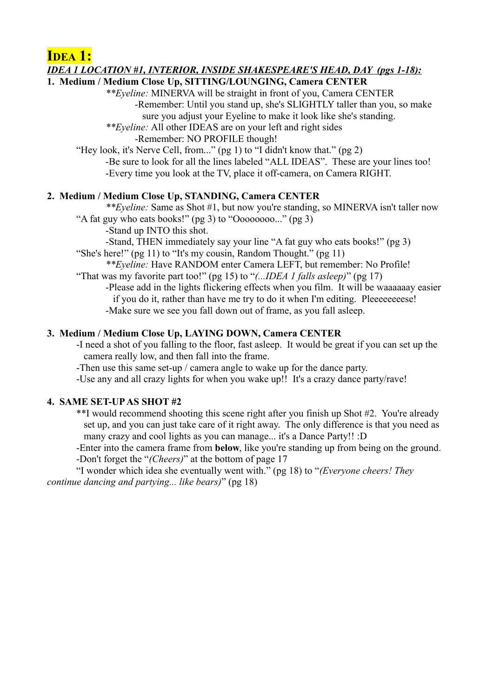**IDEA 1:**

#### *IDEA 1 LOCATION #1, INTERIOR, INSIDE SHAKESPEARE'S HEAD, DAY (pgs 1-18):*

## **1. Medium / Medium Close Up, SITTING/LOUNGING, Camera CENTER**

*\*\*Eyeline:* MINERVA will be straight in front of you, Camera CENTER -Remember: Until you stand up, she's SLIGHTLY taller than you, so make sure you adjust your Eyeline to make it look like she's standing.

*\*\*Eyeline:* All other IDEAS are on your left and right sides

-Remember: NO PROFILE though!

"Hey look, it's Nerve Cell, from..." (pg 1) to "I didn't know that." (pg 2) -Be sure to look for all the lines labeled "ALL IDEAS". These are your lines too! -Every time you look at the TV, place it off-camera, on Camera RIGHT.

### **2. Medium / Medium Close Up, STANDING, Camera CENTER**

*\*\*Eyeline:* Same as Shot #1, but now you're standing, so MINERVA isn't taller now "A fat guy who eats books!" (pg 3) to "Oooooooo..." (pg 3)

-Stand up INTO this shot.

-Stand, THEN immediately say your line "A fat guy who eats books!" (pg 3)

"She's here!" (pg 11) to "It's my cousin, Random Thought." (pg 11)

*\*\*Eyeline:* Have RANDOM enter Camera LEFT, but remember: No Profile! "That was my favorite part too!" (pg 15) to "*(...IDEA 1 falls asleep)*" (pg 17)

-Please add in the lights flickering effects when you film. It will be waaaaaay easier if you do it, rather than have me try to do it when I'm editing. Pleeeeeeeese! -Make sure we see you fall down out of frame, as you fall asleep.

### **3. Medium / Medium Close Up, LAYING DOWN, Camera CENTER**

-I need a shot of you falling to the floor, fast asleep. It would be great if you can set up the camera really low, and then fall into the frame.

-Then use this same set-up / camera angle to wake up for the dance party.

-Use any and all crazy lights for when you wake up!! It's a crazy dance party/rave!

#### **4. SAME SET-UP AS SHOT #2**

\*\*I would recommend shooting this scene right after you finish up Shot #2. You're already set up, and you can just take care of it right away. The only difference is that you need as many crazy and cool lights as you can manage... it's a Dance Party!! :D

-Enter into the camera frame from **below**, like you're standing up from being on the ground. -Don't forget the "*(Cheers)*" at the bottom of page 17

"I wonder which idea she eventually went with." (pg 18) to "*(Everyone cheers! They continue dancing and partying... like bears)*" (pg 18)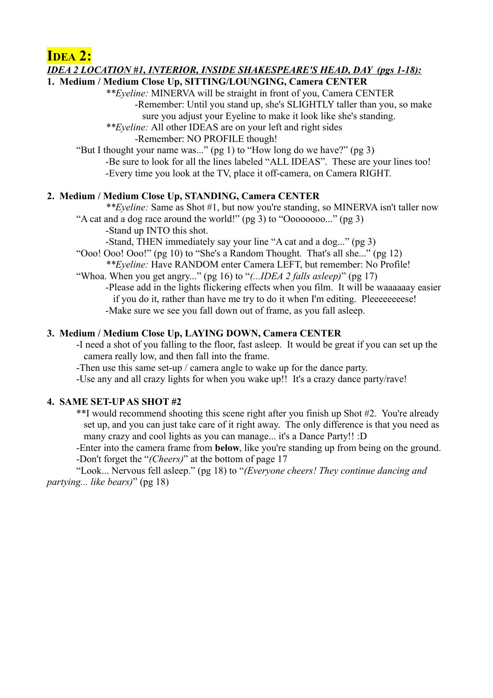**IDEA 2:**

#### *IDEA 2 LOCATION #1, INTERIOR, INSIDE SHAKESPEARE'S HEAD, DAY (pgs 1-18):*

## **1. Medium / Medium Close Up, SITTING/LOUNGING, Camera CENTER**

*\*\*Eyeline:* MINERVA will be straight in front of you, Camera CENTER -Remember: Until you stand up, she's SLIGHTLY taller than you, so make sure you adjust your Eyeline to make it look like she's standing.

*\*\*Eyeline:* All other IDEAS are on your left and right sides

-Remember: NO PROFILE though!

"But I thought your name was..." (pg 1) to "How long do we have?" (pg 3) -Be sure to look for all the lines labeled "ALL IDEAS". These are your lines too! -Every time you look at the TV, place it off-camera, on Camera RIGHT.

### **2. Medium / Medium Close Up, STANDING, Camera CENTER**

*\*\*Eyeline:* Same as Shot #1, but now you're standing, so MINERVA isn't taller now "A cat and a dog race around the world!" (pg 3) to "Oooooooo..." (pg 3)

-Stand up INTO this shot.

-Stand, THEN immediately say your line "A cat and a dog..." (pg 3)

"Ooo! Ooo! Ooo!" (pg 10) to "She's a Random Thought. That's all she..." (pg 12) *\*\*Eyeline:* Have RANDOM enter Camera LEFT, but remember: No Profile!

"Whoa. When you get angry..." (pg 16) to "*(...IDEA 2 falls asleep)*" (pg 17)

-Please add in the lights flickering effects when you film. It will be waaaaaay easier if you do it, rather than have me try to do it when I'm editing. Pleeeeeeeese! -Make sure we see you fall down out of frame, as you fall asleep.

### **3. Medium / Medium Close Up, LAYING DOWN, Camera CENTER**

-I need a shot of you falling to the floor, fast asleep. It would be great if you can set up the camera really low, and then fall into the frame.

-Then use this same set-up / camera angle to wake up for the dance party.

-Use any and all crazy lights for when you wake up!! It's a crazy dance party/rave!

#### **4. SAME SET-UP AS SHOT #2**

\*\*I would recommend shooting this scene right after you finish up Shot #2. You're already set up, and you can just take care of it right away. The only difference is that you need as many crazy and cool lights as you can manage... it's a Dance Party!! :D

-Enter into the camera frame from **below**, like you're standing up from being on the ground. -Don't forget the "*(Cheers)*" at the bottom of page 17

"Look... Nervous fell asleep." (pg 18) to "*(Everyone cheers! They continue dancing and partying... like bears)*" (pg 18)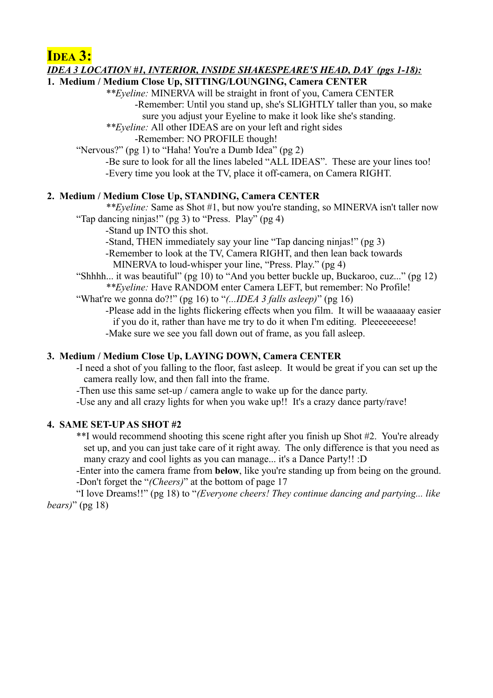**IDEA 3:**

#### *IDEA 3 LOCATION #1, INTERIOR, INSIDE SHAKESPEARE'S HEAD, DAY (pgs 1-18):*

## **1. Medium / Medium Close Up, SITTING/LOUNGING, Camera CENTER**

*\*\*Eyeline:* MINERVA will be straight in front of you, Camera CENTER -Remember: Until you stand up, she's SLIGHTLY taller than you, so make sure you adjust your Eyeline to make it look like she's standing.

*\*\*Eyeline:* All other IDEAS are on your left and right sides

-Remember: NO PROFILE though!

"Nervous?" (pg 1) to "Haha! You're a Dumb Idea" (pg 2)

-Be sure to look for all the lines labeled "ALL IDEAS". These are your lines too! -Every time you look at the TV, place it off-camera, on Camera RIGHT.

#### **2. Medium / Medium Close Up, STANDING, Camera CENTER**

*\*\*Eyeline:* Same as Shot #1, but now you're standing, so MINERVA isn't taller now "Tap dancing ninjas!" (pg 3) to "Press. Play" (pg 4)

-Stand up INTO this shot.

-Stand, THEN immediately say your line "Tap dancing ninjas!" (pg 3)

-Remember to look at the TV, Camera RIGHT, and then lean back towards MINERVA to loud-whisper your line, "Press. Play." (pg 4)

"Shhhh... it was beautiful" (pg 10) to "And you better buckle up, Buckaroo, cuz..." (pg 12)

*\*\*Eyeline:* Have RANDOM enter Camera LEFT, but remember: No Profile!

"What're we gonna do?!" (pg 16) to "*(...IDEA 3 falls asleep)*" (pg 16)

-Please add in the lights flickering effects when you film. It will be waaaaaay easier if you do it, rather than have me try to do it when I'm editing. Pleeeeeeeese! -Make sure we see you fall down out of frame, as you fall asleep.

### **3. Medium / Medium Close Up, LAYING DOWN, Camera CENTER**

-I need a shot of you falling to the floor, fast asleep. It would be great if you can set up the camera really low, and then fall into the frame.

-Then use this same set-up / camera angle to wake up for the dance party.

-Use any and all crazy lights for when you wake up!! It's a crazy dance party/rave!

#### **4. SAME SET-UP AS SHOT #2**

\*\*I would recommend shooting this scene right after you finish up Shot #2. You're already set up, and you can just take care of it right away. The only difference is that you need as many crazy and cool lights as you can manage... it's a Dance Party!! :D

-Enter into the camera frame from **below**, like you're standing up from being on the ground. -Don't forget the "*(Cheers)*" at the bottom of page 17

"I love Dreams!!" (pg 18) to "*(Everyone cheers! They continue dancing and partying... like bears)*" (pg 18)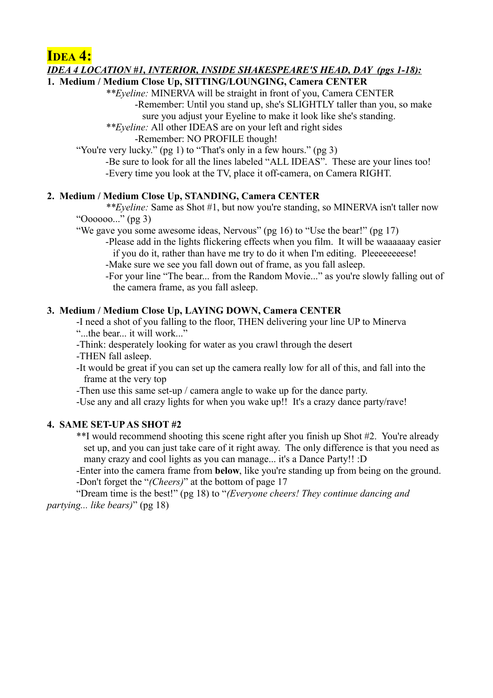**IDEA 4:**

#### *IDEA 4 LOCATION #1, INTERIOR, INSIDE SHAKESPEARE'S HEAD, DAY (pgs 1-18):*

### **1. Medium / Medium Close Up, SITTING/LOUNGING, Camera CENTER**

*\*\*Eyeline:* MINERVA will be straight in front of you, Camera CENTER -Remember: Until you stand up, she's SLIGHTLY taller than you, so make sure you adjust your Eyeline to make it look like she's standing.

*\*\*Eyeline:* All other IDEAS are on your left and right sides

-Remember: NO PROFILE though!

"You're very lucky." (pg 1) to "That's only in a few hours." (pg 3)

-Be sure to look for all the lines labeled "ALL IDEAS". These are your lines too! -Every time you look at the TV, place it off-camera, on Camera RIGHT.

#### **2. Medium / Medium Close Up, STANDING, Camera CENTER**

*\*\*Eyeline:* Same as Shot #1, but now you're standing, so MINERVA isn't taller now "Oooooo..." (pg 3)

"We gave you some awesome ideas, Nervous" (pg 16) to "Use the bear!" (pg 17)

- -Please add in the lights flickering effects when you film. It will be waaaaaay easier if you do it, rather than have me try to do it when I'm editing. Pleeeeeeeese!
- -Make sure we see you fall down out of frame, as you fall asleep.

-For your line "The bear... from the Random Movie..." as you're slowly falling out of the camera frame, as you fall asleep.

#### **3. Medium / Medium Close Up, LAYING DOWN, Camera CENTER**

-I need a shot of you falling to the floor, THEN delivering your line UP to Minerva "...the bear... it will work..."

-Think: desperately looking for water as you crawl through the desert -THEN fall asleep.

-It would be great if you can set up the camera really low for all of this, and fall into the frame at the very top

-Then use this same set-up / camera angle to wake up for the dance party.

-Use any and all crazy lights for when you wake up!! It's a crazy dance party/rave!

## **4. SAME SET-UP AS SHOT #2**

\*\*I would recommend shooting this scene right after you finish up Shot #2. You're already set up, and you can just take care of it right away. The only difference is that you need as many crazy and cool lights as you can manage... it's a Dance Party!! :D

-Enter into the camera frame from **below**, like you're standing up from being on the ground. -Don't forget the "*(Cheers)*" at the bottom of page 17

"Dream time is the best!" (pg 18) to "*(Everyone cheers! They continue dancing and partying... like bears)*" (pg 18)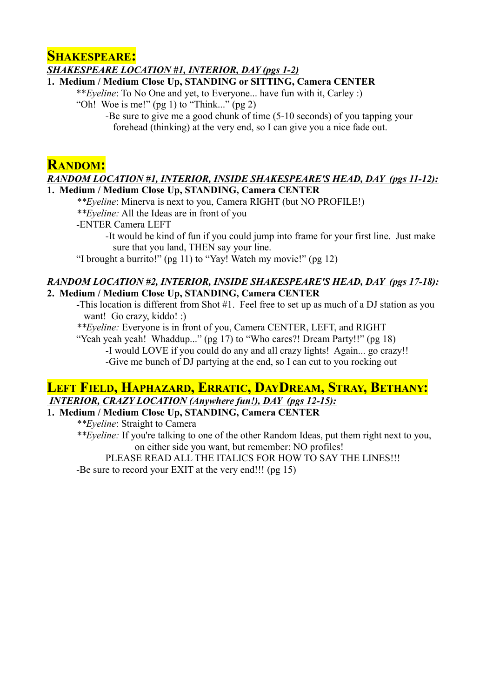## **SHAKESPEARE:**

*SHAKESPEARE LOCATION #1, INTERIOR, DAY (pgs 1-2)*

#### **1. Medium / Medium Close Up, STANDING or SITTING, Camera CENTER**

\*\**Eyeline*: To No One and yet, to Everyone... have fun with it, Carley :) "Oh! Woe is me!" (pg 1) to "Think..." (pg 2)

> -Be sure to give me a good chunk of time (5-10 seconds) of you tapping your forehead (thinking) at the very end, so I can give you a nice fade out.

## **RANDOM:**

#### *RANDOM LOCATION #1, INTERIOR, INSIDE SHAKESPEARE'S HEAD, DAY (pgs 11-12):* **1. Medium / Medium Close Up, STANDING, Camera CENTER**

*\*\*Eyeline*: Minerva is next to you, Camera RIGHT (but NO PROFILE!)

*\*\*Eyeline:* All the Ideas are in front of you

-ENTER Camera LEFT

-It would be kind of fun if you could jump into frame for your first line. Just make sure that you land, THEN say your line.

"I brought a burrito!" (pg 11) to "Yay! Watch my movie!" (pg 12)

#### *RANDOM LOCATION #2, INTERIOR, INSIDE SHAKESPEARE'S HEAD, DAY (pgs 17-18):* **2. Medium / Medium Close Up, STANDING, Camera CENTER**

-This location is different from Shot #1. Feel free to set up as much of a DJ station as you want! Go crazy, kiddo! :)

*\*\*Eyeline:* Everyone is in front of you, Camera CENTER, LEFT, and RIGHT

"Yeah yeah yeah! Whaddup..." (pg 17) to "Who cares?! Dream Party!!" (pg 18) -I would LOVE if you could do any and all crazy lights! Again... go crazy!! -Give me bunch of DJ partying at the end, so I can cut to you rocking out

## **LEFT FIELD, HAPHAZARD, ERRATIC, DAYDREAM, STRAY, BETHANY:**  *INTERIOR, CRAZY LOCATION (Anywhere fun!), DAY (pgs 12-15):*

**1. Medium / Medium Close Up, STANDING, Camera CENTER**

*\*\*Eyeline*: Straight to Camera

*\*\*Eyeline:* If you're talking to one of the other Random Ideas, put them right next to you, on either side you want, but remember: NO profiles!

PLEASE READ ALL THE ITALICS FOR HOW TO SAY THE LINES!!!

-Be sure to record your EXIT at the very end!!! (pg 15)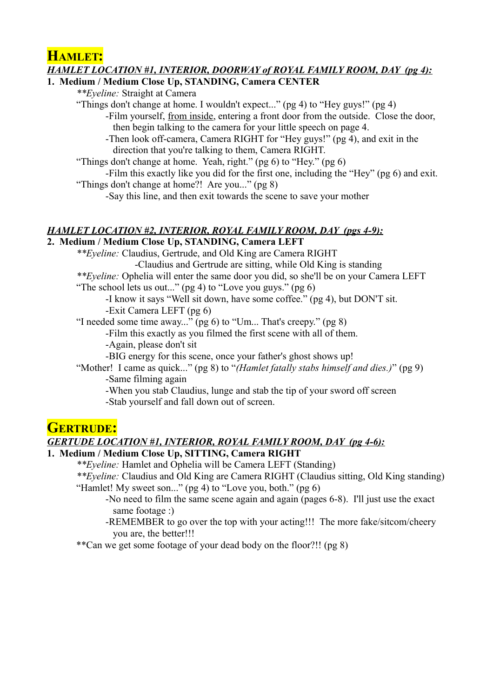**HAMLET:**

## *HAMLET LOCATION #1, INTERIOR, DOORWAY of ROYAL FAMILY ROOM, DAY (pg 4):*

### **1. Medium / Medium Close Up, STANDING, Camera CENTER**

*\*\*Eyeline:* Straight at Camera

"Things don't change at home. I wouldn't expect..." (pg 4) to "Hey guys!" (pg 4)

-Film yourself, from inside, entering a front door from the outside. Close the door, then begin talking to the camera for your little speech on page 4.

-Then look off-camera, Camera RIGHT for "Hey guys!" (pg 4), and exit in the direction that you're talking to them, Camera RIGHT.

"Things don't change at home. Yeah, right." (pg 6) to "Hey." (pg 6)

-Film this exactly like you did for the first one, including the "Hey" (pg 6) and exit. "Things don't change at home?! Are you..." (pg 8)

-Say this line, and then exit towards the scene to save your mother

## *HAMLET LOCATION #2, INTERIOR, ROYAL FAMILY ROOM, DAY (pgs 4-9):*

### **2. Medium / Medium Close Up, STANDING, Camera LEFT**

*\*\*Eyeline:* Claudius, Gertrude, and Old King are Camera RIGHT -Claudius and Gertrude are sitting, while Old King is standing *\*\*Eyeline:* Ophelia will enter the same door you did, so she'll be on your Camera LEFT "The school lets us out..." (pg 4) to "Love you guys." (pg 6) -I know it says "Well sit down, have some coffee." (pg 4), but DON'T sit. -Exit Camera LEFT (pg 6) "I needed some time away..." (pg 6) to "Um... That's creepy." (pg 8)

-Film this exactly as you filmed the first scene with all of them.

-Again, please don't sit

-BIG energy for this scene, once your father's ghost shows up!

- "Mother! I came as quick..." (pg 8) to "*(Hamlet fatally stabs himself and dies.)*" (pg 9) -Same filming again
	- -When you stab Claudius, lunge and stab the tip of your sword off screen

-Stab yourself and fall down out of screen.

# **GERTRUDE:**

## *GERTUDE LOCATION #1, INTERIOR, ROYAL FAMILY ROOM, DAY (pg 4-6):*

## **1. Medium / Medium Close Up, SITTING, Camera RIGHT**

*\*\*Eyeline:* Hamlet and Ophelia will be Camera LEFT (Standing)

*\*\*Eyeline:* Claudius and Old King are Camera RIGHT (Claudius sitting, Old King standing) "Hamlet! My sweet son..." (pg 4) to "Love you, both." (pg 6)

-No need to film the same scene again and again (pages 6-8). I'll just use the exact same footage :)

-REMEMBER to go over the top with your acting!!! The more fake/sitcom/cheery you are, the better!!!

\*\*Can we get some footage of your dead body on the floor?!! (pg 8)